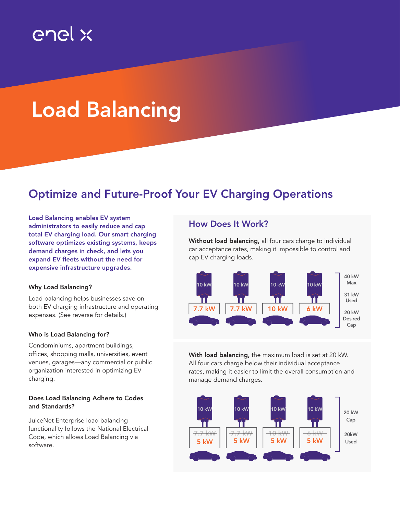## enel x

# Load Balancing

### Optimize and Future-Proof Your EV Charging Operations

expensive infrastructure upgrades. 50 A 50 A 50 A demand charges in check, and lets you demand charges in check, and lets you<br>expand EV fleets without the need for Load Balancing enables EV system administrators to easily reduce and cap total EV charging load. Our smart charging software optimizes existing systems, keeps

### Why Load Balancing?

Load balancing helps businesses save on both EV charging infrastructure and operating expenses. (See reverse for details.)

### Who is Load Balancing for?

Condominiums, apartment buildings, offices, shopping malls, universities, event venues, garages—any commercial or public organization interested in optimizing EV charging.

### Does Load Balancing Adhere to Codes and Standards?

JuiceNet Enterprise load balancing functionality follows the National Electrical Code, which allows Load Balancing via software.

### How Does It Work?

 $10^{10}$  kw  $10^{10}$  kw  $10^{10}$  kw  $10^{10}$  kw  $10^{10}$  kw  $10^{10}$  kw  $10^{10}$  kw  $10^{10}$  kw  $10^{10}$  kw  $10^{10}$  kw  $10^{10}$  kw  $10^{10}$  kw  $10^{10}$  kw  $10^{10}$  kw  $10^{10}$  kw  $10^{10}$  kw  $10^{10}$  kw  $10^{10}$  kw  $10^{1$ Without load balancing, all four cars charge to individual car acceptance rates, making it impossible to control and cap EV charging loads.



manage demand charges.  $\mathbf m$  idea balanding, the maximum load is set rates, making it easier to limit the overall consumption and Their local balancing, the maximum local is set at 20 k **With load balancing,** the maximum load is set at 20 kW.